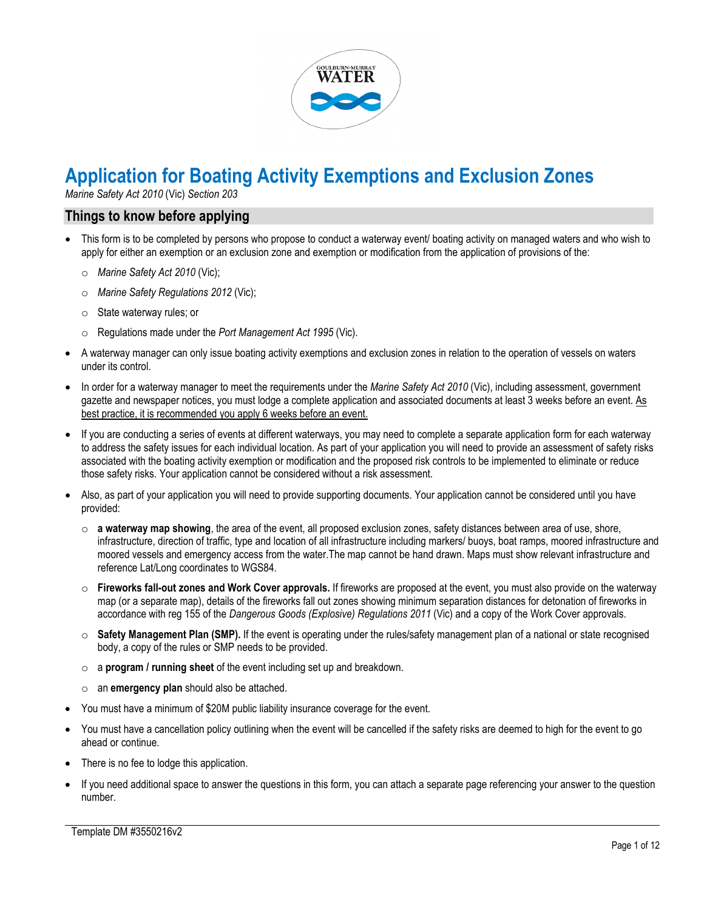

# **Application for Boating Activity Exemptions and Exclusion Zones**

*Marine Safety Act 2010* (Vic) *Section 203*

### **Things to know before applying**

- This form is to be completed by persons who propose to conduct a waterway event/ boating activity on managed waters and who wish to apply for either an exemption or an exclusion zone and exemption or modification from the application of provisions of the:
	- o *Marine Safety Act 2010* (Vic);
	- o *Marine Safety Regulations 2012* (Vic);
	- o State waterway rules; or
	- o Regulations made under the *Port Management Act 1995* (Vic).
- A waterway manager can only issue boating activity exemptions and exclusion zones in relation to the operation of vessels on waters under its control.
- In order for a waterway manager to meet the requirements under the *Marine Safety Act 2010* (Vic), including assessment, government gazette and newspaper notices, you must lodge a complete application and associated documents at least 3 weeks before an event. As best practice, it is recommended you apply 6 weeks before an event.
- If you are conducting a series of events at different waterways, you may need to complete a separate application form for each waterway to address the safety issues for each individual location. As part of your application you will need to provide an assessment of safety risks associated with the boating activity exemption or modification and the proposed risk controls to be implemented to eliminate or reduce those safety risks. Your application cannot be considered without a risk assessment.
- Also, as part of your application you will need to provide supporting documents. Your application cannot be considered until you have provided:
	- o **a waterway map showing**, the area of the event, all proposed exclusion zones, safety distances between area of use, shore, infrastructure, direction of traffic, type and location of all infrastructure including markers/ buoys, boat ramps, moored infrastructure and moored vessels and emergency access from the water.The map cannot be hand drawn. Maps must show relevant infrastructure and reference Lat/Long coordinates to WGS84.
	- o **Fireworks fall-out zones and Work Cover approvals.** If fireworks are proposed at the event, you must also provide on the waterway map (or a separate map), details of the fireworks fall out zones showing minimum separation distances for detonation of fireworks in accordance with reg 155 of the *Dangerous Goods (Explosive) Regulations 2011* (Vic) and a copy of the Work Cover approvals.
	- o **Safety Management Plan (SMP).** If the event is operating under the rules/safety management plan of a national or state recognised body, a copy of the rules or SMP needs to be provided.
	- o a **program / running sheet** of the event including set up and breakdown.
	- o an **emergency plan** should also be attached.
- You must have a minimum of \$20M public liability insurance coverage for the event.
- You must have a cancellation policy outlining when the event will be cancelled if the safety risks are deemed to high for the event to go ahead or continue.
- There is no fee to lodge this application.
- If you need additional space to answer the questions in this form, you can attach a separate page referencing your answer to the question number.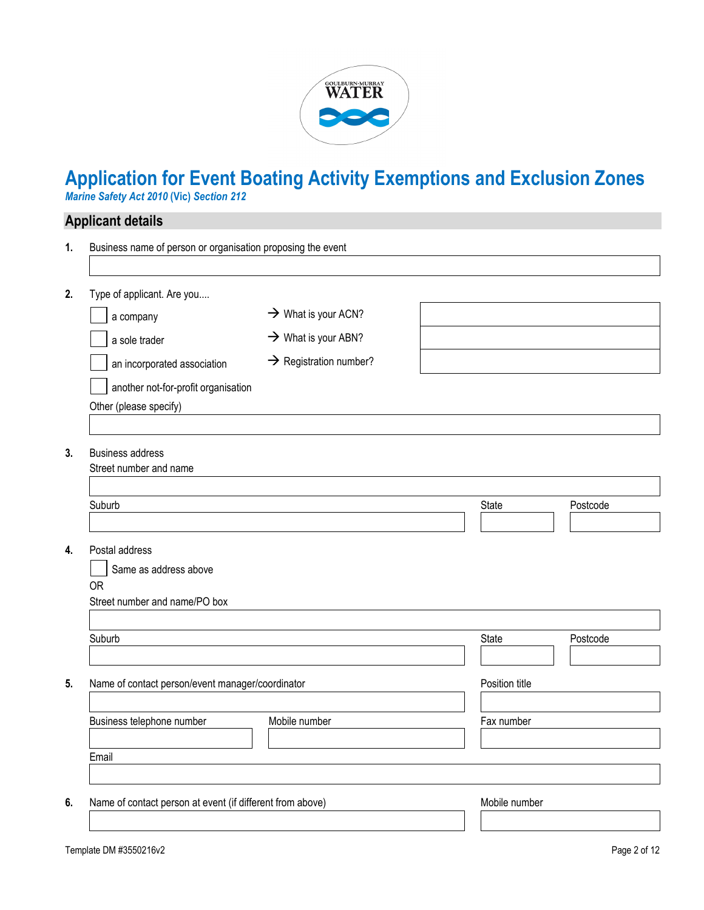

# **Application for Event Boating Activity Exemptions and Exclusion Zones**

*Marine Safety Act 2010* **(Vic)** *Section 212*

# **Applicant details**

| 1. | Business name of person or organisation proposing the event |                                    |                |          |
|----|-------------------------------------------------------------|------------------------------------|----------------|----------|
|    |                                                             |                                    |                |          |
| 2. | Type of applicant. Are you                                  |                                    |                |          |
|    | a company                                                   | $\rightarrow$ What is your ACN?    |                |          |
|    | a sole trader                                               | $\rightarrow$ What is your ABN?    |                |          |
|    | an incorporated association                                 | $\rightarrow$ Registration number? |                |          |
|    | another not-for-profit organisation                         |                                    |                |          |
|    | Other (please specify)                                      |                                    |                |          |
|    |                                                             |                                    |                |          |
| 3. | <b>Business address</b>                                     |                                    |                |          |
|    | Street number and name                                      |                                    |                |          |
|    |                                                             |                                    |                |          |
|    | Suburb                                                      |                                    | State          | Postcode |
|    |                                                             |                                    |                |          |
| 4. | Postal address                                              |                                    |                |          |
|    | Same as address above<br><b>OR</b>                          |                                    |                |          |
|    | Street number and name/PO box                               |                                    |                |          |
|    |                                                             |                                    |                |          |
|    | Suburb                                                      |                                    | State          | Postcode |
|    |                                                             |                                    |                |          |
| 5. | Name of contact person/event manager/coordinator            |                                    | Position title |          |
|    |                                                             |                                    |                |          |
|    | Business telephone number                                   | Mobile number                      | Fax number     |          |
|    |                                                             |                                    |                |          |
|    | Email                                                       |                                    |                |          |
|    |                                                             |                                    |                |          |
| 6. | Name of contact person at event (if different from above)   |                                    | Mobile number  |          |
|    |                                                             |                                    |                |          |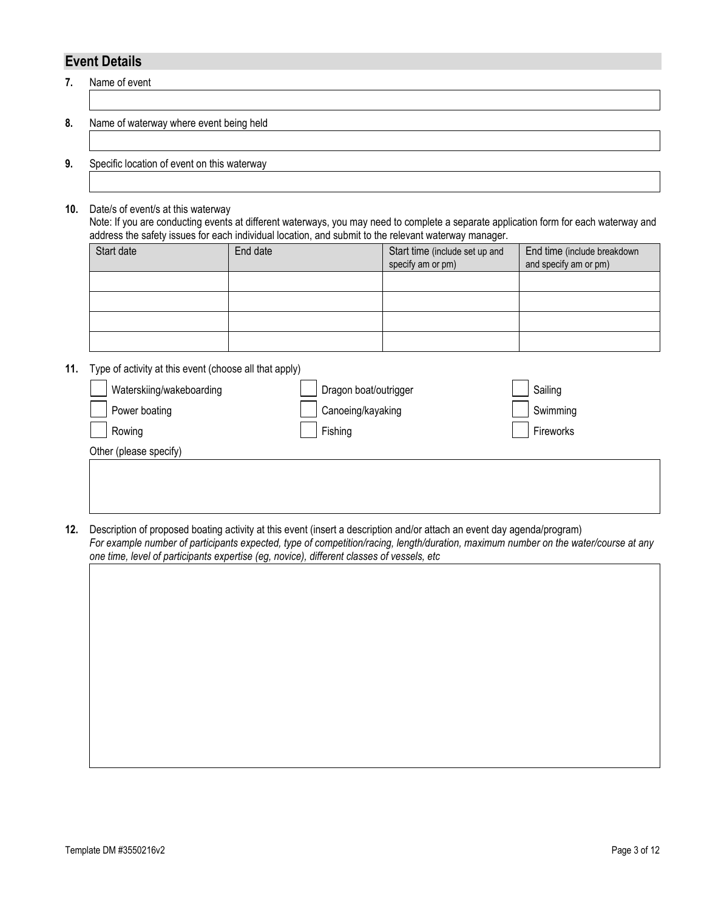# **Event Details**

**7.** Name of event

#### **8.** Name of waterway where event being held

#### **9.** Specific location of event on this waterway

**10.** Date/s of event/s at this waterway

Note: If you are conducting events at different waterways, you may need to complete a separate application form for each waterway and address the safety issues for each individual location, and submit to the relevant waterway manager.

| Start date | End date | Start time (include set up and<br>specify am or pm) | End time (include breakdown<br>and specify am or pm) |
|------------|----------|-----------------------------------------------------|------------------------------------------------------|
|            |          |                                                     |                                                      |
|            |          |                                                     |                                                      |
|            |          |                                                     |                                                      |
|            |          |                                                     |                                                      |

**11.** Type of activity at this event (choose all that apply)

| Waterskiing/wakeboarding | Dragon boat/outrigger | Sailing   |
|--------------------------|-----------------------|-----------|
| Power boating            | Canoeing/kayaking     | Swimming  |
| Rowing                   | Fishing               | Fireworks |
| Other (please specify)   |                       |           |

**12.** Description of proposed boating activity at this event (insert a description and/or attach an event day agenda/program) *For example number of participants expected, type of competition/racing, length/duration, maximum number on the water/course at any one time, level of participants expertise (eg, novice), different classes of vessels, etc*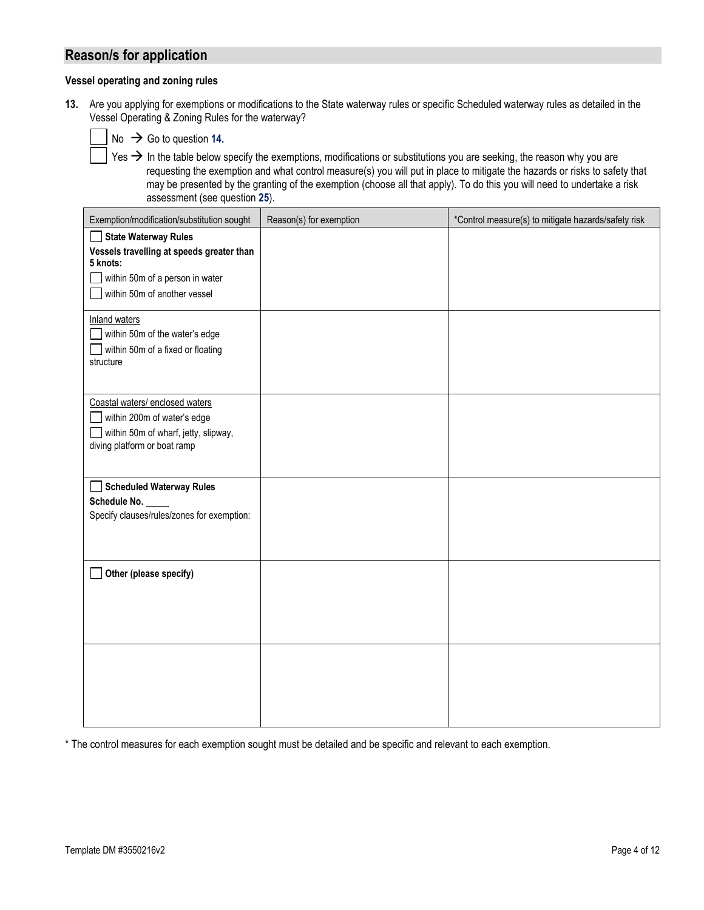## **Reason/s for application**

#### **Vessel operating and zoning rules**

**13.** Are you applying for exemptions or modifications to the State waterway rules or specific Scheduled waterway rules as detailed in the Vessel Operating & Zoning Rules for the waterway?

| $\big]$ No $\,\Rightarrow\,$ Go to question 14. |  |
|-------------------------------------------------|--|
|-------------------------------------------------|--|

Yes  $\rightarrow$  In the table below specify the exemptions, modifications or substitutions you are seeking, the reason why you are requesting the exemption and what control measure(s) you will put in place to mitigate the hazards or risks to safety that may be presented by the granting of the exemption (choose all that apply). To do this you will need to undertake a risk assessment (see question **25**).

| Exemption/modification/substitution sought                                                                                                              | Reason(s) for exemption | *Control measure(s) to mitigate hazards/safety risk |
|---------------------------------------------------------------------------------------------------------------------------------------------------------|-------------------------|-----------------------------------------------------|
| <b>State Waterway Rules</b><br>Vessels travelling at speeds greater than<br>5 knots:<br>within 50m of a person in water<br>within 50m of another vessel |                         |                                                     |
| <b>Inland waters</b><br>within 50m of the water's edge<br>within 50m of a fixed or floating<br>structure                                                |                         |                                                     |
| Coastal waters/ enclosed waters<br>within 200m of water's edge<br>within 50m of wharf, jetty, slipway,<br>diving platform or boat ramp                  |                         |                                                     |
| <b>Scheduled Waterway Rules</b><br>Schedule No. _<br>Specify clauses/rules/zones for exemption:                                                         |                         |                                                     |
| Other (please specify)                                                                                                                                  |                         |                                                     |
|                                                                                                                                                         |                         |                                                     |

\* The control measures for each exemption sought must be detailed and be specific and relevant to each exemption.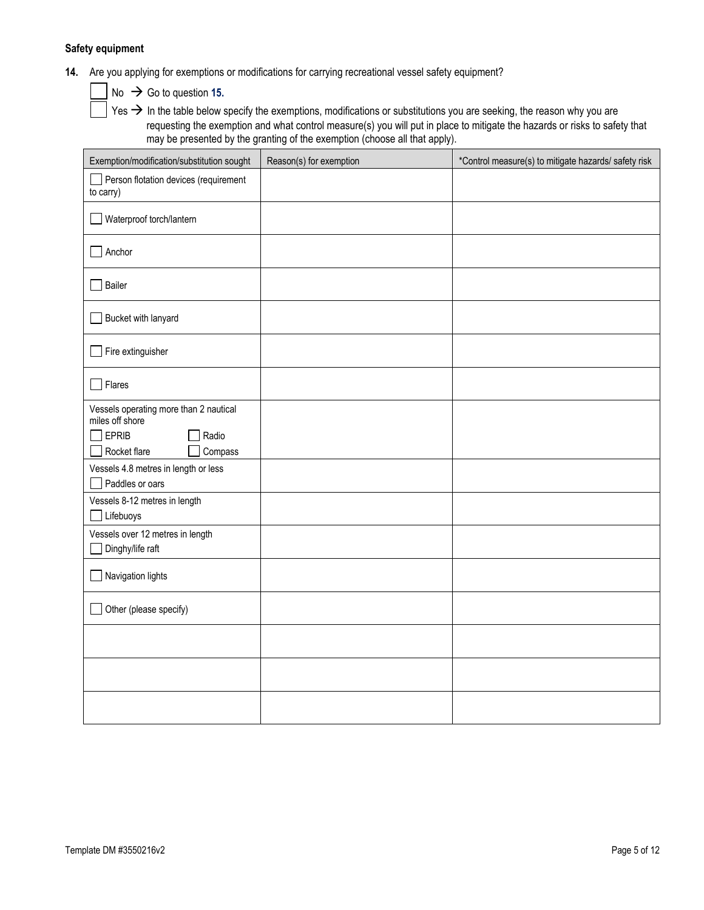#### **Safety equipment**

**14.** Are you applying for exemptions or modifications for carrying recreational vessel safety equipment?

 $No \rightarrow Go$  to question 15.

 $|$  Yes  $\rightarrow$  In the table below specify the exemptions, modifications or substitutions you are seeking, the reason why you are requesting the exemption and what control measure(s) you will put in place to mitigate the hazards or risks to safety that may be presented by the granting of the exemption (choose all that apply).

| Exemption/modification/substitution sought                | Reason(s) for exemption | *Control measure(s) to mitigate hazards/ safety risk |
|-----------------------------------------------------------|-------------------------|------------------------------------------------------|
| Person flotation devices (requirement<br>to carry)        |                         |                                                      |
| Waterproof torch/lantern                                  |                         |                                                      |
| Anchor                                                    |                         |                                                      |
| Bailer                                                    |                         |                                                      |
| Bucket with lanyard                                       |                         |                                                      |
| Fire extinguisher                                         |                         |                                                      |
| Flares                                                    |                         |                                                      |
| Vessels operating more than 2 nautical<br>miles off shore |                         |                                                      |
| <b>EPRIB</b><br>Radio                                     |                         |                                                      |
| Compass<br>Rocket flare                                   |                         |                                                      |
| Vessels 4.8 metres in length or less<br>Paddles or oars   |                         |                                                      |
| Vessels 8-12 metres in length                             |                         |                                                      |
| Lifebuoys                                                 |                         |                                                      |
| Vessels over 12 metres in length<br>Dinghy/life raft      |                         |                                                      |
| Navigation lights                                         |                         |                                                      |
| Other (please specify)                                    |                         |                                                      |
|                                                           |                         |                                                      |
|                                                           |                         |                                                      |
|                                                           |                         |                                                      |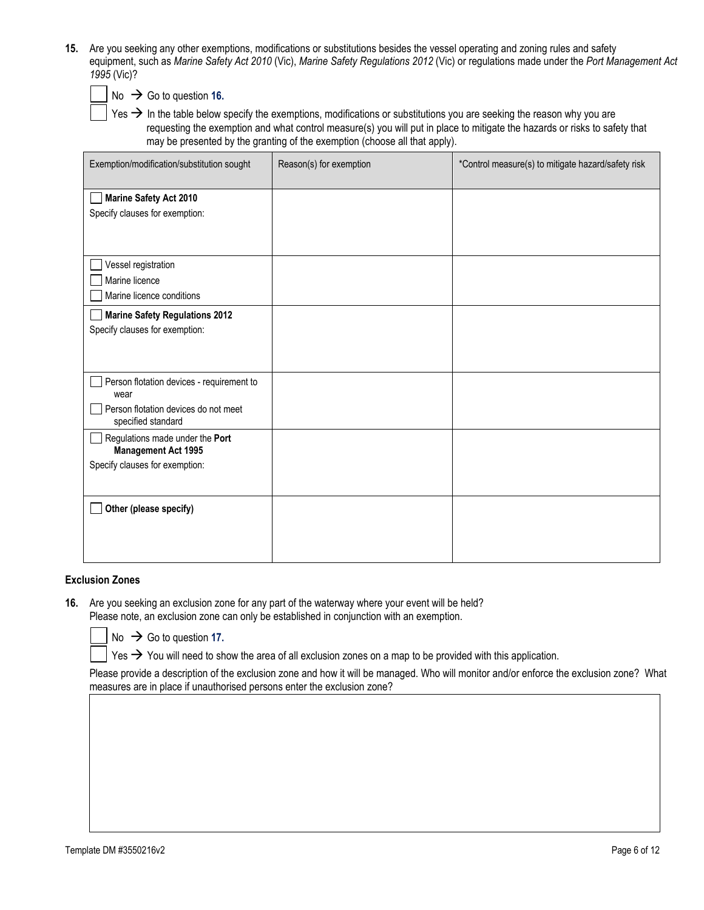**15.** Are you seeking any other exemptions, modifications or substitutions besides the vessel operating and zoning rules and safety equipment, such as *Marine Safety Act 2010* (Vic), *Marine Safety Regulations 2012* (Vic) or regulations made under the *Port Management Act 1995* (Vic)?



 $No \rightarrow Go$  to question 16.

Yes  $\rightarrow$  In the table below specify the exemptions, modifications or substitutions you are seeking the reason why you are requesting the exemption and what control measure(s) you will put in place to mitigate the hazards or risks to safety that may be presented by the granting of the exemption (choose all that apply).

| Exemption/modification/substitution sought                                                                      | Reason(s) for exemption | *Control measure(s) to mitigate hazard/safety risk |
|-----------------------------------------------------------------------------------------------------------------|-------------------------|----------------------------------------------------|
| <b>Marine Safety Act 2010</b><br>Specify clauses for exemption:                                                 |                         |                                                    |
| Vessel registration<br>Marine licence<br>Marine licence conditions                                              |                         |                                                    |
| <b>Marine Safety Regulations 2012</b><br>Specify clauses for exemption:                                         |                         |                                                    |
| Person flotation devices - requirement to<br>wear<br>Person flotation devices do not meet<br>specified standard |                         |                                                    |
| Regulations made under the Port<br><b>Management Act 1995</b><br>Specify clauses for exemption:                 |                         |                                                    |
| Other (please specify)                                                                                          |                         |                                                    |

#### **Exclusion Zones**

**16.** Are you seeking an exclusion zone for any part of the waterway where your event will be held? Please note, an exclusion zone can only be established in conjunction with an exemption.



 $No \rightarrow Go$  to question 17.

Yes  $\rightarrow$  You will need to show the area of all exclusion zones on a map to be provided with this application.

Please provide a description of the exclusion zone and how it will be managed. Who will monitor and/or enforce the exclusion zone? What measures are in place if unauthorised persons enter the exclusion zone?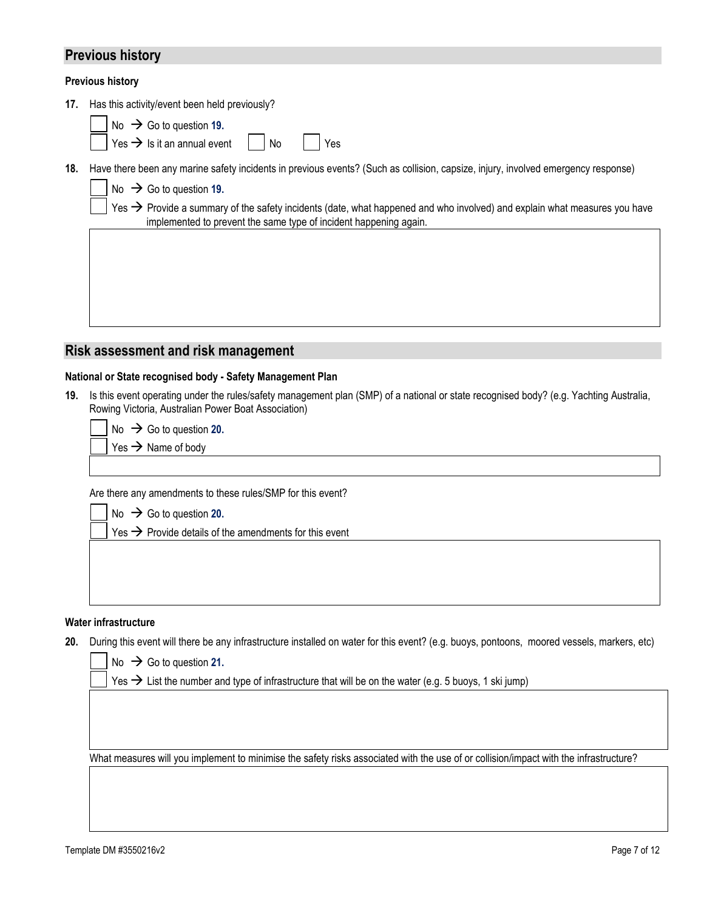## **Previous history**

#### **Previous history**

**17.** Has this activity/event been held previously?

|  |  |  |  | $\vert$ No $\rightarrow$ Go to question 19. |  |
|--|--|--|--|---------------------------------------------|--|
|--|--|--|--|---------------------------------------------|--|

 $Yes \rightarrow Is$  it an annual event  $\vert$  No  $\vert$  Yes

implemented to prevent the same type of incident happening again.

**18.** Have there been any marine safety incidents in previous events? (Such as collision, capsize, injury, involved emergency response)

|  | No $\rightarrow$ Go to question 19.                                                                                                   |  |
|--|---------------------------------------------------------------------------------------------------------------------------------------|--|
|  | Yes $\rightarrow$ Provide a summary of the safety incidents (date, what happened and who involved) and explain what measures you have |  |

# **Risk assessment and risk management**

#### **National or State recognised body - Safety Management Plan**

**19.** Is this event operating under the rules/safety management plan (SMP) of a national or state recognised body? (e.g. Yachting Australia, Rowing Victoria, Australian Power Boat Association)

 $No \rightarrow Go$  to question 20.

 $Yes \rightarrow Name of body$ 

Are there any amendments to these rules/SMP for this event?

 $No \rightarrow Go$  to question 20.

 $Yes \rightarrow$  Provide details of the amendments for this event

#### **Water infrastructure**

**20.** During this event will there be any infrastructure installed on water for this event? (e.g. buoys, pontoons, moored vessels, markers, etc)

No  $\rightarrow$  Go to question 21.

Yes  $\rightarrow$  List the number and type of infrastructure that will be on the water (e.g. 5 buoys, 1 ski jump)

What measures will you implement to minimise the safety risks associated with the use of or collision/impact with the infrastructure?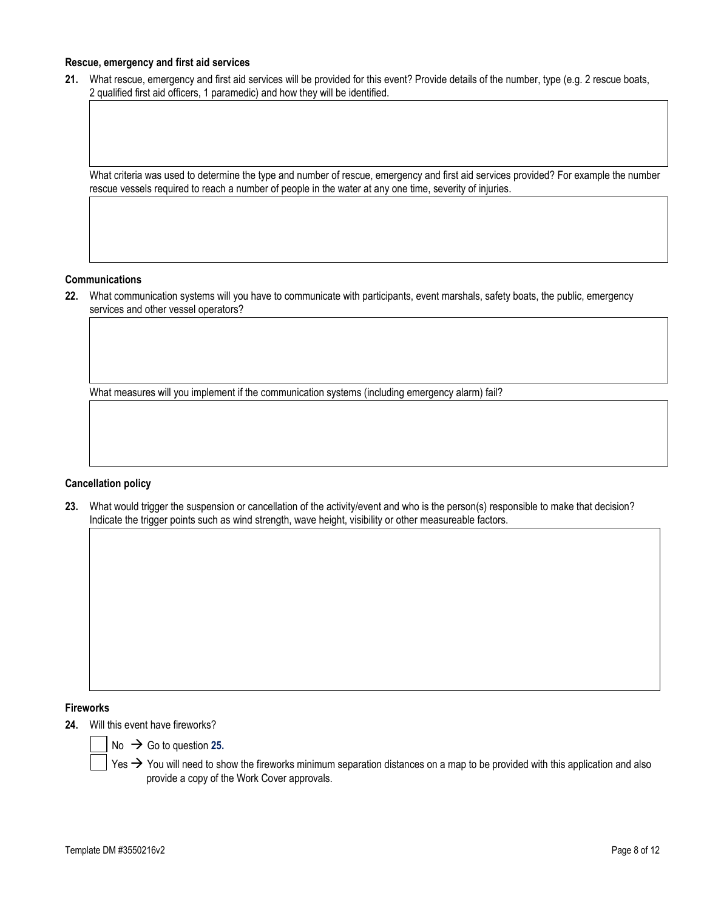#### **Rescue, emergency and first aid services**

**21.** What rescue, emergency and first aid services will be provided for this event? Provide details of the number, type (e.g. 2 rescue boats, 2 qualified first aid officers, 1 paramedic) and how they will be identified.

What criteria was used to determine the type and number of rescue, emergency and first aid services provided? For example the number rescue vessels required to reach a number of people in the water at any one time, severity of injuries.

#### **Communications**

**22.** What communication systems will you have to communicate with participants, event marshals, safety boats, the public, emergency services and other vessel operators?

What measures will you implement if the communication systems (including emergency alarm) fail?

#### **Cancellation policy**

**23.** What would trigger the suspension or cancellation of the activity/event and who is the person(s) responsible to make that decision? Indicate the trigger points such as wind strength, wave height, visibility or other measureable factors.

### **Fireworks**

**24.** Will this event have fireworks?



Yes  $\rightarrow$  You will need to show the fireworks minimum separation distances on a map to be provided with this application and also provide a copy of the Work Cover approvals.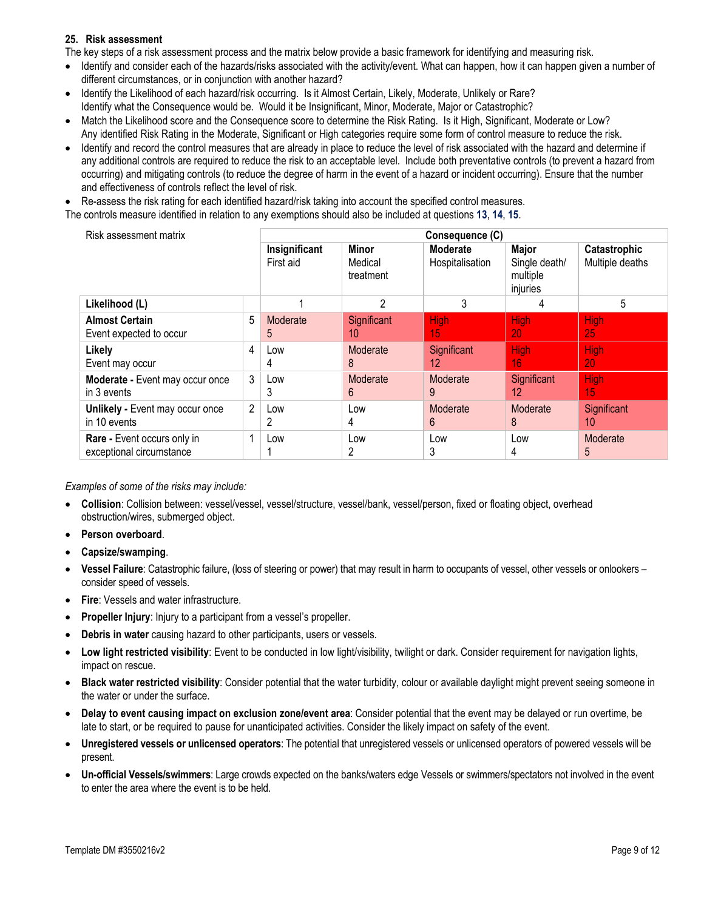#### **25. Risk assessment**

The key steps of a risk assessment process and the matrix below provide a basic framework for identifying and measuring risk.

- Identify and consider each of the hazards/risks associated with the activity/event. What can happen, how it can happen given a number of different circumstances, or in conjunction with another hazard?
- Identify the Likelihood of each hazard/risk occurring. Is it Almost Certain, Likely, Moderate, Unlikely or Rare? Identify what the Consequence would be. Would it be Insignificant, Minor, Moderate, Major or Catastrophic?
- Match the Likelihood score and the Consequence score to determine the Risk Rating. Is it High, Significant, Moderate or Low? Any identified Risk Rating in the Moderate, Significant or High categories require some form of control measure to reduce the risk.
- Identify and record the control measures that are already in place to reduce the level of risk associated with the hazard and determine if any additional controls are required to reduce the risk to an acceptable level. Include both preventative controls (to prevent a hazard from occurring) and mitigating controls (to reduce the degree of harm in the event of a hazard or incident occurring). Ensure that the number and effectiveness of controls reflect the level of risk.

• Re-assess the risk rating for each identified hazard/risk taking into account the specified control measures.

The controls measure identified in relation to any exemptions should also be included at questions **13**, **14**, **15**.

| Risk assessment matrix                                  | Consequence (C) |                            |                                      |                             |                                                |                                 |  |  |  |
|---------------------------------------------------------|-----------------|----------------------------|--------------------------------------|-----------------------------|------------------------------------------------|---------------------------------|--|--|--|
|                                                         |                 | Insignificant<br>First aid | <b>Minor</b><br>Medical<br>treatment | Moderate<br>Hospitalisation | Major<br>Single death/<br>multiple<br>injuries | Catastrophic<br>Multiple deaths |  |  |  |
| Likelihood (L)                                          |                 |                            | 2                                    | 3                           | 4                                              | 5                               |  |  |  |
| <b>Almost Certain</b><br>Event expected to occur        | 5               | Moderate<br>5              | Significant<br>10                    | <b>High</b><br>15           | High<br>20                                     | High<br>25                      |  |  |  |
| 4<br>Likely<br>Event may occur                          |                 | Low<br>4                   | Moderate<br>8                        | Significant<br>12           | High<br>16                                     | <b>High</b><br>20               |  |  |  |
| Moderate - Event may occur once<br>in 3 events          | 3               | Low<br>3                   | Moderate<br>6                        | Moderate<br>9               | Significant<br>12                              | <b>High</b><br>15.              |  |  |  |
| Unlikely - Event may occur once<br>in 10 events         | $\overline{2}$  | Low<br>2                   | Low<br>4                             | Moderate<br>6               | Moderate<br>8                                  | Significant<br>10               |  |  |  |
| Rare - Event occurs only in<br>exceptional circumstance |                 | Low                        | Low<br>2                             | Low<br>3                    | Low<br>4                                       | Moderate<br>5                   |  |  |  |

*Examples of some of the risks may include:*

- **Collision**: Collision between: vessel/vessel, vessel/structure, vessel/bank, vessel/person, fixed or floating object, overhead obstruction/wires, submerged object.
- **Person overboard**.
- **Capsize/swamping**.
- **Vessel Failure**: Catastrophic failure, (loss of steering or power) that may result in harm to occupants of vessel, other vessels or onlookers consider speed of vessels.
- **Fire**: Vessels and water infrastructure.
- **Propeller Injury:** Injury to a participant from a vessel's propeller.
- **Debris in water** causing hazard to other participants, users or vessels.
- **Low light restricted visibility**: Event to be conducted in low light/visibility, twilight or dark. Consider requirement for navigation lights, impact on rescue.
- **Black water restricted visibility**: Consider potential that the water turbidity, colour or available daylight might prevent seeing someone in the water or under the surface.
- **Delay to event causing impact on exclusion zone/event area**: Consider potential that the event may be delayed or run overtime, be late to start, or be required to pause for unanticipated activities. Consider the likely impact on safety of the event.
- **Unregistered vessels or unlicensed operators**: The potential that unregistered vessels or unlicensed operators of powered vessels will be present.
- **Un-official Vessels/swimmers**: Large crowds expected on the banks/waters edge Vessels or swimmers/spectators not involved in the event to enter the area where the event is to be held.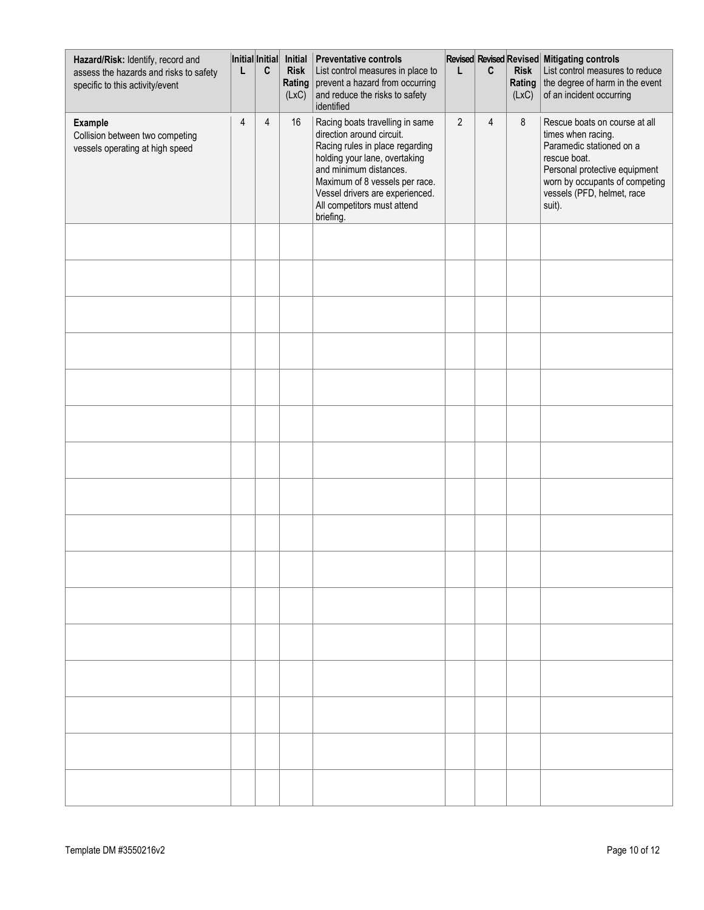| Hazard/Risk: Identify, record and<br>assess the hazards and risks to safety<br>specific to this activity/event | Initial Initial<br>L | C | Initial<br><b>Risk</b><br>Rating<br>(LxC) | <b>Preventative controls</b><br>List control measures in place to<br>prevent a hazard from occurring<br>and reduce the risks to safety<br>identified                                                                                                                        | L              | C              | <b>Risk</b><br>Rating<br>(LxC) | Revised Revised Revised Mitigating controls<br>List control measures to reduce<br>the degree of harm in the event<br>of an incident occurring                                                              |
|----------------------------------------------------------------------------------------------------------------|----------------------|---|-------------------------------------------|-----------------------------------------------------------------------------------------------------------------------------------------------------------------------------------------------------------------------------------------------------------------------------|----------------|----------------|--------------------------------|------------------------------------------------------------------------------------------------------------------------------------------------------------------------------------------------------------|
| <b>Example</b><br>Collision between two competing<br>vessels operating at high speed                           | 4                    | 4 | 16                                        | Racing boats travelling in same<br>direction around circuit.<br>Racing rules in place regarding<br>holding your lane, overtaking<br>and minimum distances.<br>Maximum of 8 vessels per race.<br>Vessel drivers are experienced.<br>All competitors must attend<br>briefing. | $\overline{2}$ | $\overline{4}$ | 8                              | Rescue boats on course at all<br>times when racing.<br>Paramedic stationed on a<br>rescue boat.<br>Personal protective equipment<br>worn by occupants of competing<br>vessels (PFD, helmet, race<br>suit). |
|                                                                                                                |                      |   |                                           |                                                                                                                                                                                                                                                                             |                |                |                                |                                                                                                                                                                                                            |
|                                                                                                                |                      |   |                                           |                                                                                                                                                                                                                                                                             |                |                |                                |                                                                                                                                                                                                            |
|                                                                                                                |                      |   |                                           |                                                                                                                                                                                                                                                                             |                |                |                                |                                                                                                                                                                                                            |
|                                                                                                                |                      |   |                                           |                                                                                                                                                                                                                                                                             |                |                |                                |                                                                                                                                                                                                            |
|                                                                                                                |                      |   |                                           |                                                                                                                                                                                                                                                                             |                |                |                                |                                                                                                                                                                                                            |
|                                                                                                                |                      |   |                                           |                                                                                                                                                                                                                                                                             |                |                |                                |                                                                                                                                                                                                            |
|                                                                                                                |                      |   |                                           |                                                                                                                                                                                                                                                                             |                |                |                                |                                                                                                                                                                                                            |
|                                                                                                                |                      |   |                                           |                                                                                                                                                                                                                                                                             |                |                |                                |                                                                                                                                                                                                            |
|                                                                                                                |                      |   |                                           |                                                                                                                                                                                                                                                                             |                |                |                                |                                                                                                                                                                                                            |
|                                                                                                                |                      |   |                                           |                                                                                                                                                                                                                                                                             |                |                |                                |                                                                                                                                                                                                            |
|                                                                                                                |                      |   |                                           |                                                                                                                                                                                                                                                                             |                |                |                                |                                                                                                                                                                                                            |
|                                                                                                                |                      |   |                                           |                                                                                                                                                                                                                                                                             |                |                |                                |                                                                                                                                                                                                            |
|                                                                                                                |                      |   |                                           |                                                                                                                                                                                                                                                                             |                |                |                                |                                                                                                                                                                                                            |
|                                                                                                                |                      |   |                                           |                                                                                                                                                                                                                                                                             |                |                |                                |                                                                                                                                                                                                            |
|                                                                                                                |                      |   |                                           |                                                                                                                                                                                                                                                                             |                |                |                                |                                                                                                                                                                                                            |
|                                                                                                                |                      |   |                                           |                                                                                                                                                                                                                                                                             |                |                |                                |                                                                                                                                                                                                            |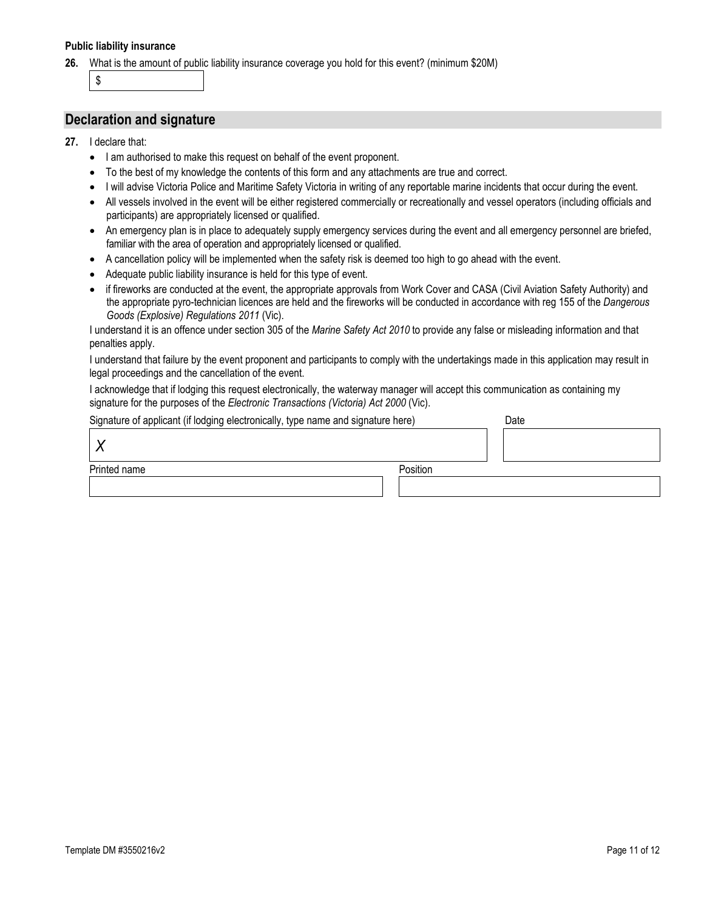#### **Public liability insurance**

**26.** What is the amount of public liability insurance coverage you hold for this event? (minimum \$20M)

\$

## **Declaration and signature**

- **27.** I declare that:
	- I am authorised to make this request on behalf of the event proponent.
	- To the best of my knowledge the contents of this form and any attachments are true and correct.
	- I will advise Victoria Police and Maritime Safety Victoria in writing of any reportable marine incidents that occur during the event.
	- All vessels involved in the event will be either registered commercially or recreationally and vessel operators (including officials and participants) are appropriately licensed or qualified.
	- An emergency plan is in place to adequately supply emergency services during the event and all emergency personnel are briefed, familiar with the area of operation and appropriately licensed or qualified.
	- A cancellation policy will be implemented when the safety risk is deemed too high to go ahead with the event.
	- Adequate public liability insurance is held for this type of event.
	- if fireworks are conducted at the event, the appropriate approvals from Work Cover and CASA (Civil Aviation Safety Authority) and the appropriate pyro-technician licences are held and the fireworks will be conducted in accordance with reg 155 of the *Dangerous Goods (Explosive) Regulations 2011* (Vic).

I understand it is an offence under section 305 of the *Marine Safety Act 2010* to provide any false or misleading information and that penalties apply.

I understand that failure by the event proponent and participants to comply with the undertakings made in this application may result in legal proceedings and the cancellation of the event.

I acknowledge that if lodging this request electronically, the waterway manager will accept this communication as containing my signature for the purposes of the *Electronic Transactions (Victoria) Act 2000* (Vic).

| Signature of applicant (if lodging electronically, type name and signature here) | Date |
|----------------------------------------------------------------------------------|------|
|                                                                                  |      |

| olyname or applicant (ii loughly electronically, type name and signature nere) |          | Dale |
|--------------------------------------------------------------------------------|----------|------|
|                                                                                |          |      |
| Printed name                                                                   | Position |      |
|                                                                                |          |      |